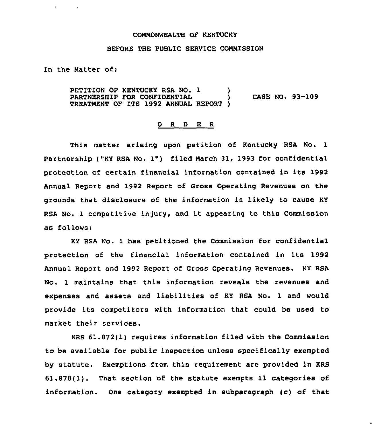## COMNONWEALTH OF KENTUCKY

## BEFORE THE PUBLIC SERVICE CONNISSION

In the Natter of:

 $\mathbf{r}$ 

PETITION OF KENTUCKY RSA NO. 1 ) PARTNERSHIP FOR CONFIDENTIAL  $\overrightarrow{)}$  CASE NO. 93-109 TREATMENT OF ITS 1992 ANNUAL REPORT )

## 0 <sup>R</sup> <sup>D</sup> E R

This matter arising upon petition of Kentucky RSA No. 1 Partnership ("KY RSA No. 1") filed Narch 31, 1993 for confidential protection of certain financial information contained in its 1992 Annual Report and 1992 Report of Gross Operating Revenues on the grounds that disclosure of the information is likely to cause KY RSA No. 1 competitive injury, and it appearing to this Commission as follows:

KY RSA No. 1 has petitioned the Commission for confidential protection of the financial information contained in its 1992 Annual Report and 1992 Report of Gross Operating Revenues. KY RSA No. 1 maintains that this information reveals the revenues and expenses and assets and liabilities of KY RSA No. 1 and would provide its competitors with information that could be used to market their services.

KRS 61.872(1) requires information filed with the Commission to be available for public inspection unless specifically exempted by statute. Exemptions from this requirement are provided in KRS 61.878(1). That section of the statute exempts 11 categories of information. One category exempted in subparagraph (c) of that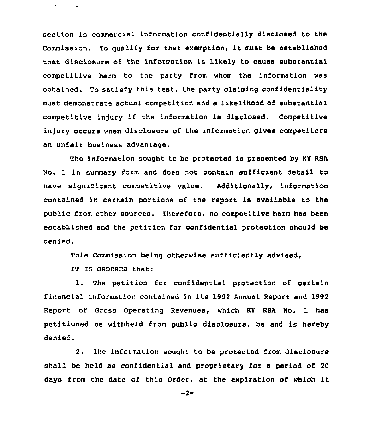section is commercial information confidentially disclosed to the Commission. To qualify for that exemption, it must be established that disclosure of the information is likely to cause substantial competitive harm to the party from whom the information was obtained. To satisfy this test, the party claiming confidentiality must demonstrate actual competition and a likelihood of substantial competitive in)ury if the information is disclosed. Competitive injury occurs when disclosure of the information gives competitors an unfair business advantage.

The information sought to be protected is presented by KY RSA No. 1 in summary form and does not contain sufficient detail to have significant competitive value. Additionally, information contained in certain portions of the report is available to the public from other sources. Therefore, no competitive harm has been established and the petition for confidential protection should be denied.

This Commission being otherwise sufficiently advised,

IT IS ORDERED that:

1. The petition for confidential protection of certain financial information contained in its 1992 Annual Report and 1992 Report of Gross Operating Revenues, which KY RSA No. 1 has petitioned be withheld from public disclosure, be and is hereby denied.

2. The information sought to be protected from disclosure shall be held as confidential and proprietary for a period of 20 days from the date of this Order, at the expiration of which it

 $-2-$